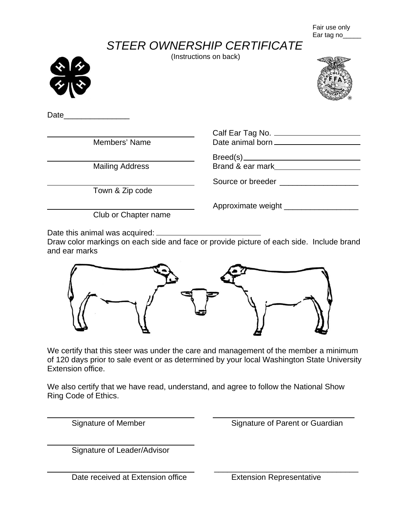Fair use only Ear tag no\_

## *STEER OWNERSHIP CERTIFICATE*

(Instructions on back)





Date

Mailing Address **Brand & ear mark** 

Town & Zip code

 Calf Ear Tag No. Members' Name Date animal born

Breed(s)

Source or breeder **Exercise 2008** 

Approximate weight \_\_\_\_\_\_\_\_\_\_\_\_\_\_\_\_\_

Club or Chapter name

Date this animal was acquired:  $\frac{1}{1}$ 

Draw color markings on each side and face or provide picture of each side. Include brand and ear marks



We certify that this steer was under the care and management of the member a minimum of 120 days prior to sale event or as determined by your local Washington State University Extension office.

We also certify that we have read, understand, and agree to follow the National Show Ring Code of Ethics.

 $\overline{a}$ 

 $\overline{a}$ 

Signature of Member Signature of Parent or Guardian

Signature of Leader/Advisor

Date received at Extension office<br>
Extension Representative